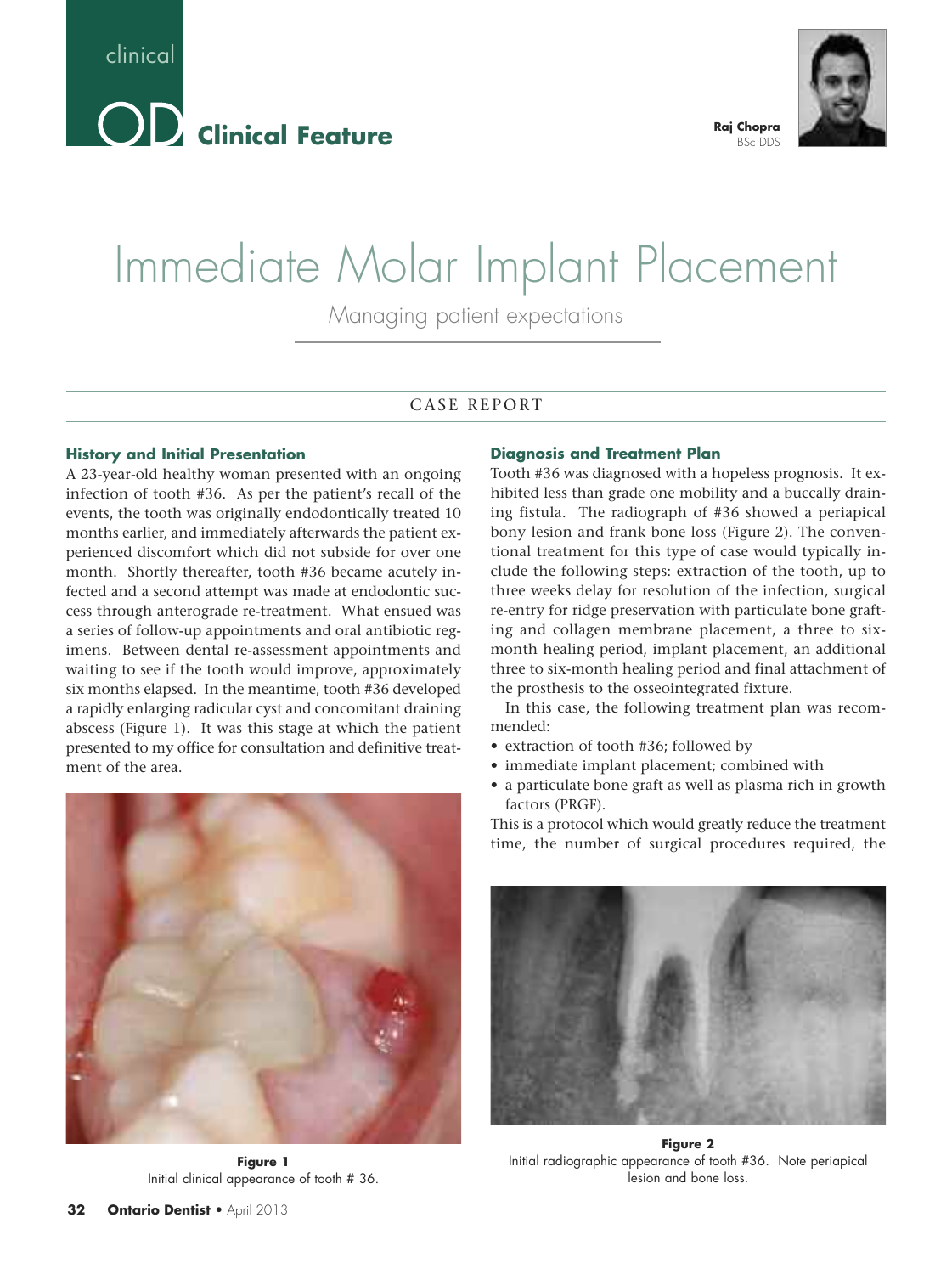



#### **Raj Chopra** BSc DDS

# Immediate Molar Implant Placement

Managing patient expectations

## CASE REPORT

#### **History and Initial Presentation**

A 23-year-old healthy woman presented with an ongoing infection of tooth #36. As per the patient's recall of the events, the tooth was originally endodontically treated 10 months earlier, and immediately afterwards the patient experienced discomfort which did not subside for over one month. Shortly thereafter, tooth #36 became acutely infected and a second attempt was made at endodontic success through anterograde re-treatment. What ensued was a series of follow-up appointments and oral antibiotic regimens. Between dental re-assessment appointments and waiting to see if the tooth would improve, approximately six months elapsed. In the meantime, tooth #36 developed a rapidly enlarging radicular cyst and concomitant draining abscess (Figure 1). It was this stage at which the patient presented to my office for consultation and definitive treatment of the area.



**Figure 1** Initial clinical appearance of tooth # 36.

#### **Diagnosis and Treatment Plan**

Tooth #36 was diagnosed with a hopeless prognosis. It exhibited less than grade one mobility and a buccally draining fistula. The radiograph of #36 showed a periapical bony lesion and frank bone loss (Figure 2). The conventional treatment for this type of case would typically include the following steps: extraction of the tooth, up to three weeks delay for resolution of the infection, surgical re-entry for ridge preservation with particulate bone grafting and collagen membrane placement, a three to sixmonth healing period, implant placement, an additional three to six-month healing period and final attachment of the prosthesis to the osseointegrated fixture.

In this case, the following treatment plan was recommended:

- extraction of tooth #36; followed by
- immediate implant placement; combined with
- a particulate bone graft as well as plasma rich in growth factors (PRGF).

This is a protocol which would greatly reduce the treatment time, the number of surgical procedures required, the



**Figure 2** Initial radiographic appearance of tooth #36. Note periapical lesion and bone loss.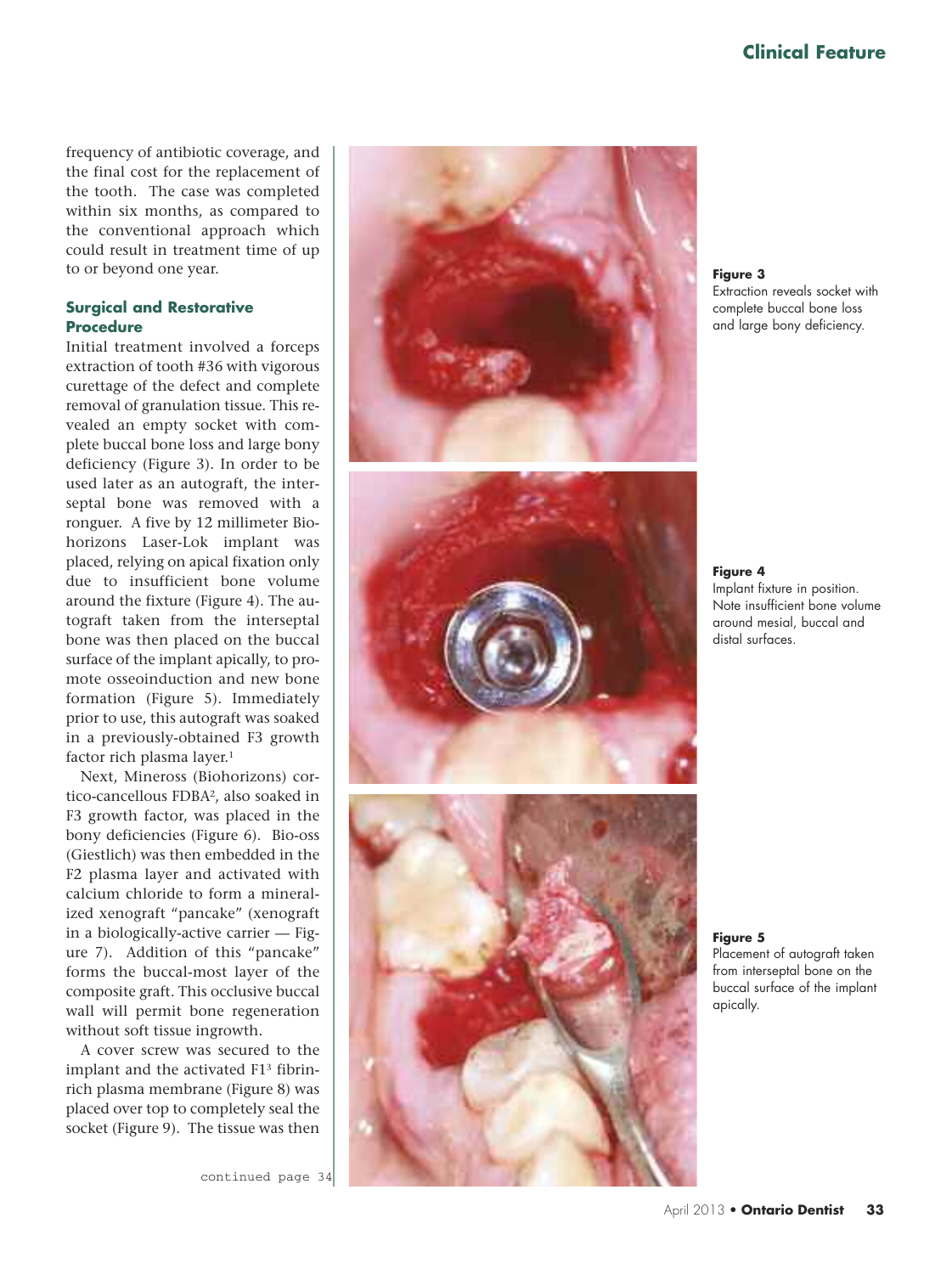frequency of antibiotic coverage, and the final cost for the replacement of the tooth. The case was completed within six months, as compared to the conventional approach which could result in treatment time of up to or beyond one year.

## Surgical and Restorative **P r o c e d u r e**

Initial treatment involved a forceps extraction of tooth #36 with vigorous curettage of the defect and complete removal of granulation tissue. This revealed an empty socket with complete buccal bone loss and large bony deficiency (Figure 3). In order to be used later as an autograft, the interseptal bone was removed with a ronguer. A five by 12 millimeter Biohorizons Laser-Lok implant was placed, relying on apical fixation only due to insufficient bone volume around the fixture (Figure 4). The autograft taken from the interseptal bone was then placed on the buccal surface of the implant apically, to promote osseoinduction and new bone formation (Figure 5). Immediately prior to use, this autograft was soaked in a previously-obtained F3 growth factor rich plasma layer.<sup>1</sup>

Next, Mineross (Biohorizons) cortico-cancellous FDBA<sup>2</sup>, also soaked in F3 growth factor, was placed in the bony deficiencies (Figure 6). Bio-oss (Giestlich) was then embedded in the F2 plasma layer and activated with calcium chloride to form a mineralized xenograft "pancake" (xenograft in a biologically-active carrier — Figure 7). Addition of this "pancake" forms the buccal-most layer of the composite graft. This occlusive buccal wall will permit bone regeneration without soft tissue ingrowth.

A cover screw was secured to the implant and the activated F1<sup>3</sup> fibrinrich plasma membrane (Figure 8) was placed over top to completely seal the socket (Figure 9). The tissue was then

continued page 34







**F i g u r e 3**

Extraction reveals socket with complete buccal bone loss and large bony deficiency.

**F i g u r e 4**

Implant fixture in position. Note insufficient bone volume around mesial, buccal and distal surfaces.

**F i g u r e 5**

Placement of autograft taken from interseptal bone on the buccal surface of the implant apically.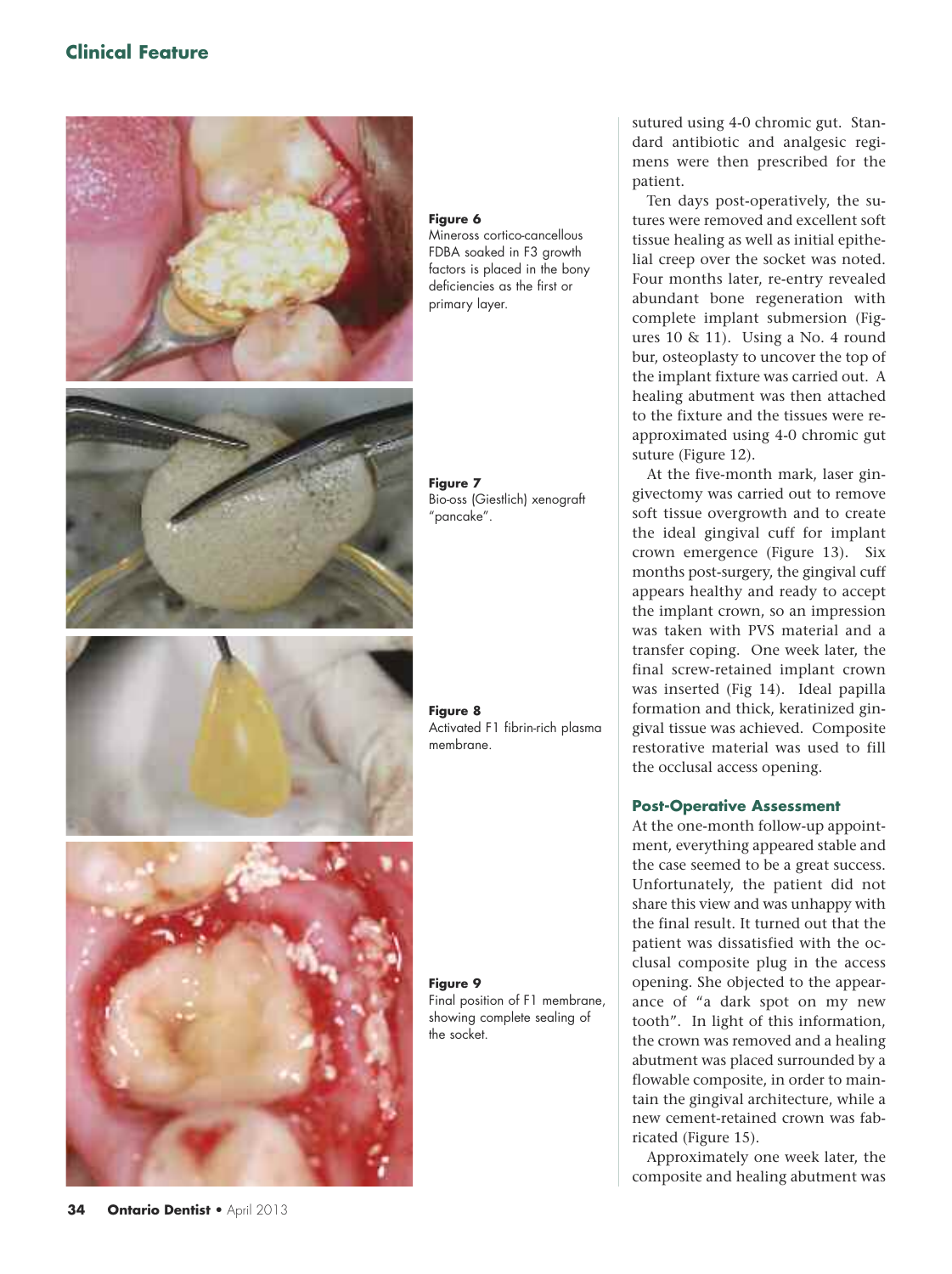## **Clinical Feature**



## **34 Ontario Dentist** • April 2013

**Figure 6**

Mineross cortico-cancellous FDBA soaked in F3 growth factors is placed in the bony deficiencies as the first or primary layer.

**Figure 7** Bio-oss (Giestlich) xenograft "pancake".

**Figure 8** Activated F1 fibrin-rich plasma membrane.

**Figure 9** Final position of F1 membrane, showing complete sealing of the socket.

sutured using 4-0 chromic gut. Standard antibiotic and analgesic regimens were then prescribed for the patient.

Ten days post-operatively, the sutures were removed and excellent soft tissue healing as well as initial epithelial creep over the socket was noted. Four months later, re-entry revealed abundant bone regeneration with complete implant submersion (Figures  $10 \& 11$ ). Using a No. 4 round bur, osteoplasty to uncover the top of the implant fixture was carried out. A healing abutment was then attached to the fixture and the tissues were reapproximated using 4-0 chromic gut suture (Figure 12).

At the five-month mark, laser gingivectomy was carried out to remove soft tissue overgrowth and to create the ideal gingival cuff for implant crown emergence (Figure 13). Six months post-surgery, the gingival cuff appears healthy and ready to accept the implant crown, so an impression was taken with PVS material and a transfer coping. One week later, the final screw-retained implant crown was inserted (Fig 14). Ideal papilla formation and thick, keratinized gingival tissue was achieved. Composite restorative material was used to fill the occlusal access opening.

## **Post-Operative Assessment**

At the one-month follow-up appointment, everything appeared stable and the case seemed to be a great success. Unfortunately, the patient did not share this view and was unhappy with the final result. It turned out that the patient was dissatisfied with the occlusal composite plug in the access opening. She objected to the appearance of "a dark spot on my new tooth". In light of this information, the crown was removed and a healing abutment was placed surrounded by a flowable composite, in order to maintain the gingival architecture, while a new cement-retained crown was fabricated (Figure 15).

Approximately one week later, the composite and healing abutment was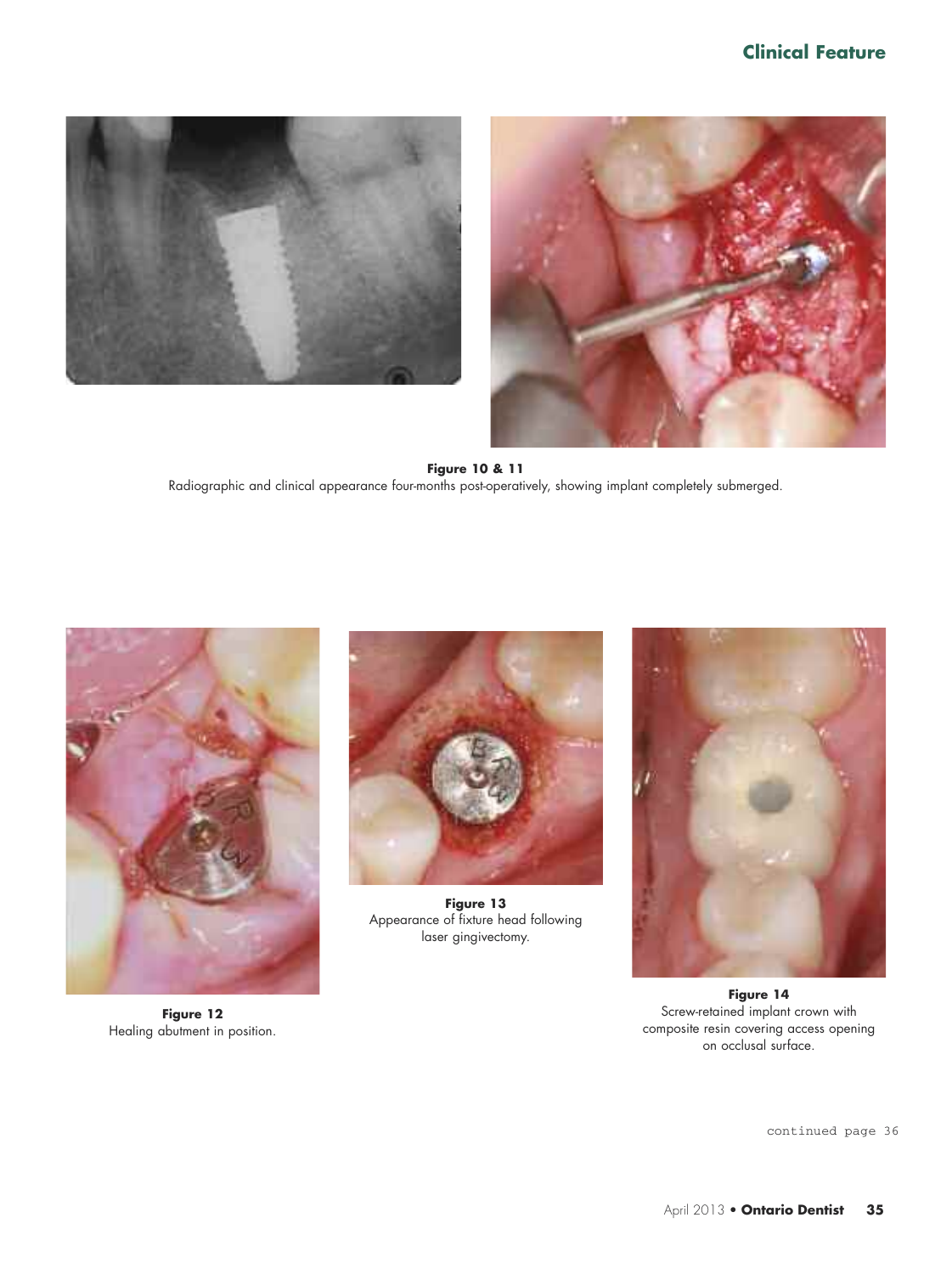



**Figure 10 & 11** Radiographic and clinical appearance four-months post-operatively, showing implant completely submerged.



**Figure 12** Healing abutment in position.



**Figure 13** Appearance of fixture head following laser gingivectomy.



**Figure 14** Screw-retained implant crown with composite resin covering access opening on occlusal surface.

continued page 36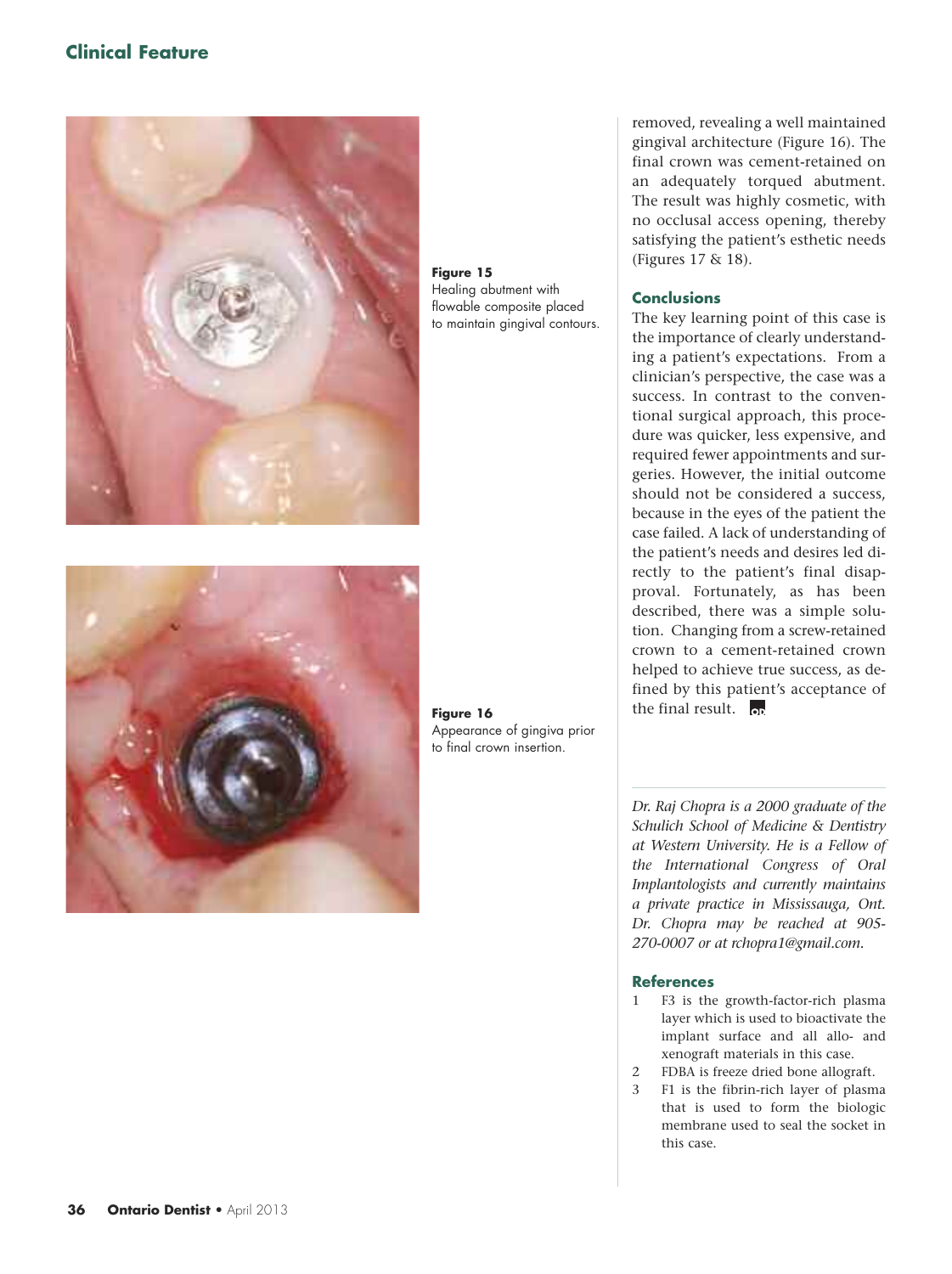## **Clinical Feature**



**Figure 15** Healing abutment with flowable composite placed to maintain gingival contours.



**Figure 16** Appearance of gingiva prior to final crown insertion.

removed, revealing a well maintained gingival architecture (Figure 16). The final crown was cement-retained on an adequately torqued abutment. The result was highly cosmetic, with no occlusal access opening, thereby satisfying the patient's esthetic needs (Figures 17 & 18).

## **Conclusions**

The key learning point of this case is the importance of clearly understanding a patient's expectations. From a clinician's perspective, the case was a success. In contrast to the conventional surgical approach, this procedure was quicker, less expensive, and required fewer appointments and surgeries. However, the initial outcome should not be considered a success, because in the eyes of the patient the case failed. A lack of understanding of the patient's needs and desires led directly to the patient's final disapproval. Fortunately, as has been described, there was a simple solution. Changing from a screw-retained crown to a cement-retained crown helped to achieve true success, as defined by this patient's acceptance of the final result.  $\overline{op}$ 

*Dr. Raj Chopra is a 2000 graduate of the Schulich School of Medicine & Dentistry at Western University. He is a Fellow of the International Congress of Oral Implantologists and currently maintains a private practice in Mississauga, Ont. Dr. Chopra may be reached at 905- 270-0007 or at rchopra1@gmail.com.*

### **References**

- 1 F3 is the growth-factor-rich plasma layer which is used to bioactivate the implant surface and all allo- and xenograft materials in this case.
- 2 FDBA is freeze dried bone allograft.
- 3 F1 is the fibrin-rich layer of plasma that is used to form the biologic membrane used to seal the socket in this case.